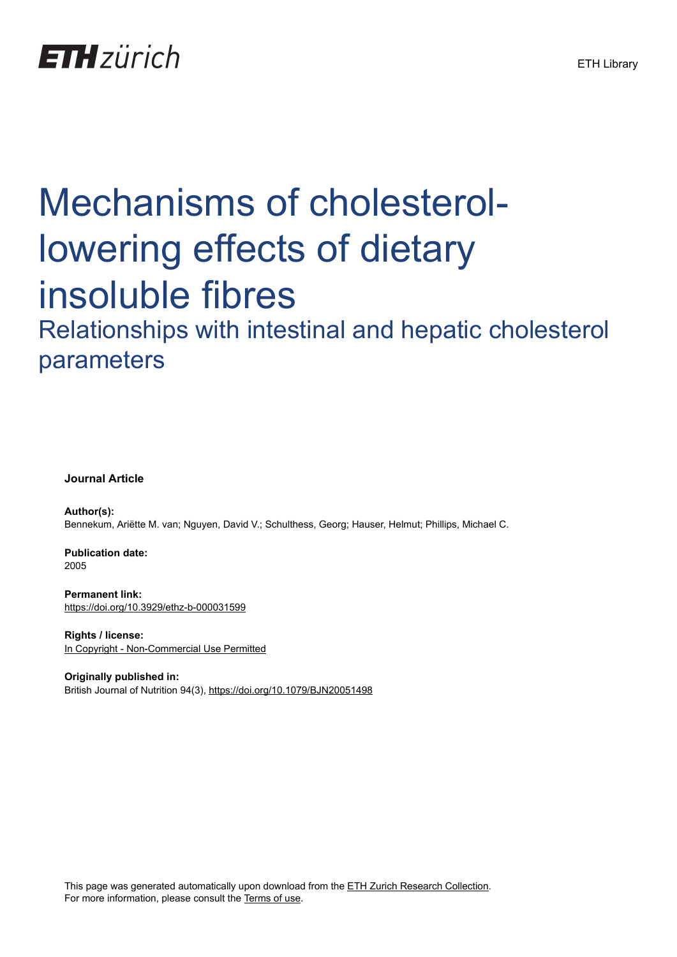## **ETH**zürich

# Mechanisms of cholesterollowering effects of dietary insoluble fibres

Relationships with intestinal and hepatic cholesterol parameters

#### **Journal Article**

**Author(s):** Bennekum, Ariëtte M. van; Nguyen, David V.; Schulthess, Georg; Hauser, Helmut; Phillips, Michael C.

**Publication date:** 2005

**Permanent link:** <https://doi.org/10.3929/ethz-b-000031599>

**Rights / license:** [In Copyright - Non-Commercial Use Permitted](http://rightsstatements.org/page/InC-NC/1.0/)

**Originally published in:** British Journal of Nutrition 94(3), <https://doi.org/10.1079/BJN20051498>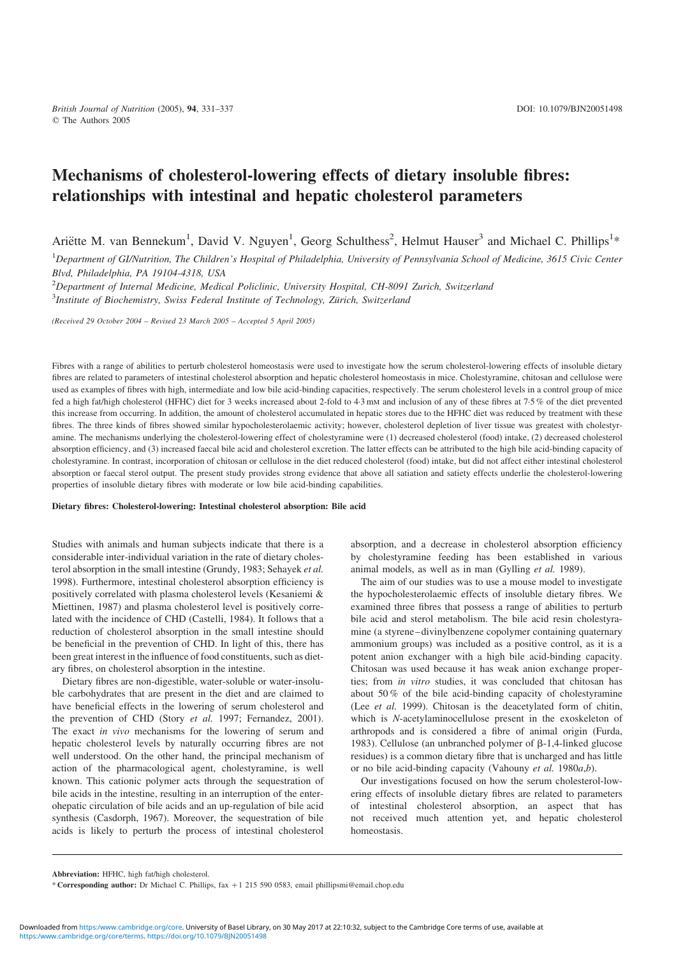### Mechanisms of cholesterol-lowering effects of dietary insoluble fibres: relationships with intestinal and hepatic cholesterol parameters

Ariëtte M. van Bennekum<sup>1</sup>, David V. Nguyen<sup>1</sup>, Georg Schulthess<sup>2</sup>, Helmut Hauser<sup>3</sup> and Michael C. Phillips<sup>1\*</sup>

<sup>1</sup>Department of GI/Nutrition, The Children's Hospital of Philadelphia, University of Pennsylvania School of Medicine, 3615 Civic Center Blvd, Philadelphia, PA 19104-4318, USA

<sup>2</sup>Department of Internal Medicine, Medical Policlinic, University Hospital, CH-8091 Zurich, Switzerland

<sup>3</sup>Institute of Biochemistry, Swiss Federal Institute of Technology, Zürich, Switzerland

(Received 29 October 2004 – Revised 23 March 2005 – Accepted 5 April 2005)

Fibres with a range of abilities to perturb cholesterol homeostasis were used to investigate how the serum cholesterol-lowering effects of insoluble dietary fibres are related to parameters of intestinal cholesterol absorption and hepatic cholesterol homeostasis in mice. Cholestyramine, chitosan and cellulose were used as examples of fibres with high, intermediate and low bile acid-binding capacities, respectively. The serum cholesterol levels in a control group of mice fed a high fat/high cholesterol (HFHC) diet for 3 weeks increased about 2-fold to 4·3 mM and inclusion of any of these fibres at 7·5 % of the diet prevented this increase from occurring. In addition, the amount of cholesterol accumulated in hepatic stores due to the HFHC diet was reduced by treatment with these fibres. The three kinds of fibres showed similar hypocholesterolaemic activity; however, cholesterol depletion of liver tissue was greatest with cholestyramine. The mechanisms underlying the cholesterol-lowering effect of cholestyramine were (1) decreased cholesterol (food) intake, (2) decreased cholesterol absorption efficiency, and (3) increased faecal bile acid and cholesterol excretion. The latter effects can be attributed to the high bile acid-binding capacity of cholestyramine. In contrast, incorporation of chitosan or cellulose in the diet reduced cholesterol (food) intake, but did not affect either intestinal cholesterol absorption or faecal sterol output. The present study provides strong evidence that above all satiation and satiety effects underlie the cholesterol-lowering properties of insoluble dietary fibres with moderate or low bile acid-binding capabilities.

#### Dietary fibres: Cholesterol-lowering: Intestinal cholesterol absorption: Bile acid

Studies with animals and human subjects indicate that there is a considerable inter-individual variation in the rate of dietary cholesterol absorption in the small intestine (Grundy, 1983; Sehayek et al. 1998). Furthermore, intestinal cholesterol absorption efficiency is positively correlated with plasma cholesterol levels (Kesaniemi & Miettinen, 1987) and plasma cholesterol level is positively correlated with the incidence of CHD (Castelli, 1984). It follows that a reduction of cholesterol absorption in the small intestine should be beneficial in the prevention of CHD. In light of this, there has been great interest in the influence of food constituents, such as dietary fibres, on cholesterol absorption in the intestine.

Dietary fibres are non-digestible, water-soluble or water-insoluble carbohydrates that are present in the diet and are claimed to have beneficial effects in the lowering of serum cholesterol and the prevention of CHD (Story et al. 1997; Fernandez, 2001). The exact in vivo mechanisms for the lowering of serum and hepatic cholesterol levels by naturally occurring fibres are not well understood. On the other hand, the principal mechanism of action of the pharmacological agent, cholestyramine, is well known. This cationic polymer acts through the sequestration of bile acids in the intestine, resulting in an interruption of the enterohepatic circulation of bile acids and an up-regulation of bile acid synthesis (Casdorph, 1967). Moreover, the sequestration of bile acids is likely to perturb the process of intestinal cholesterol

absorption, and a decrease in cholesterol absorption efficiency by cholestyramine feeding has been established in various animal models, as well as in man (Gylling et al. 1989).

The aim of our studies was to use a mouse model to investigate the hypocholesterolaemic effects of insoluble dietary fibres. We examined three fibres that possess a range of abilities to perturb bile acid and sterol metabolism. The bile acid resin cholestyramine (a styrene–divinylbenzene copolymer containing quaternary ammonium groups) was included as a positive control, as it is a potent anion exchanger with a high bile acid-binding capacity. Chitosan was used because it has weak anion exchange properties; from in vitro studies, it was concluded that chitosan has about 50 % of the bile acid-binding capacity of cholestyramine (Lee et al. 1999). Chitosan is the deacetylated form of chitin, which is N-acetylaminocellulose present in the exoskeleton of arthropods and is considered a fibre of animal origin (Furda, 1983). Cellulose (an unbranched polymer of  $\beta$ -1,4-linked glucose residues) is a common dietary fibre that is uncharged and has little or no bile acid-binding capacity (Vahouny et al. 1980a,b).

Our investigations focused on how the serum cholesterol-lowering effects of insoluble dietary fibres are related to parameters of intestinal cholesterol absorption, an aspect that has not received much attention yet, and hepatic cholesterol homeostasis.

Abbreviation: HFHC, high fat/high cholesterol.

<sup>\*</sup> Corresponding author: Dr Michael C. Phillips, fax +1 215 590 0583, email phillipsmi@email.chop.edu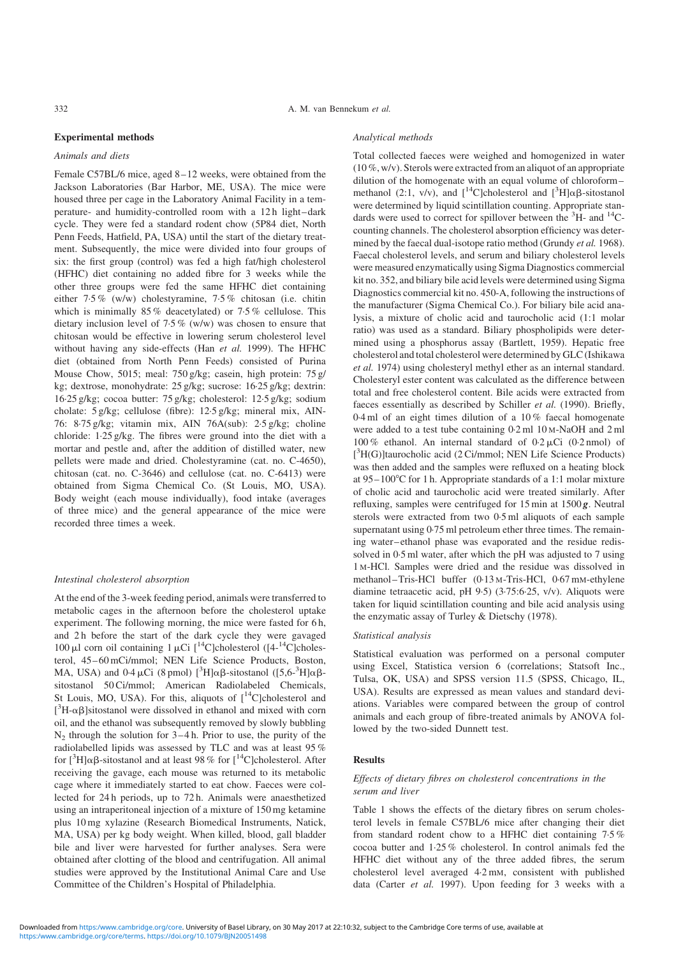#### Experimental methods

#### Animals and diets

Female C57BL/6 mice, aged 8–12 weeks, were obtained from the Jackson Laboratories (Bar Harbor, ME, USA). The mice were housed three per cage in the Laboratory Animal Facility in a temperature- and humidity-controlled room with a 12 h light–dark cycle. They were fed a standard rodent chow (5P84 diet, North Penn Feeds, Hatfield, PA, USA) until the start of the dietary treatment. Subsequently, the mice were divided into four groups of six: the first group (control) was fed a high fat/high cholesterol (HFHC) diet containing no added fibre for 3 weeks while the other three groups were fed the same HFHC diet containing either 7·5 % (w/w) cholestyramine, 7·5 % chitosan (i.e. chitin which is minimally 85% deacetylated) or 7.5% cellulose. This dietary inclusion level of 7·5 % (w/w) was chosen to ensure that chitosan would be effective in lowering serum cholesterol level without having any side-effects (Han et al. 1999). The HFHC diet (obtained from North Penn Feeds) consisted of Purina Mouse Chow, 5015; meal: 750 g/kg; casein, high protein: 75 g/ kg; dextrose, monohydrate: 25 g/kg; sucrose: 16·25 g/kg; dextrin: 16·25 g/kg; cocoa butter: 75 g/kg; cholesterol: 12·5 g/kg; sodium cholate: 5 g/kg; cellulose (fibre): 12·5 g/kg; mineral mix, AIN-76: 8·75 g/kg; vitamin mix, AIN 76A(sub): 2·5 g/kg; choline chloride: 1·25 g/kg. The fibres were ground into the diet with a mortar and pestle and, after the addition of distilled water, new pellets were made and dried. Cholestyramine (cat. no. C-4650), chitosan (cat. no. C-3646) and cellulose (cat. no. C-6413) were obtained from Sigma Chemical Co. (St Louis, MO, USA). Body weight (each mouse individually), food intake (averages of three mice) and the general appearance of the mice were recorded three times a week.

#### Intestinal cholesterol absorption

At the end of the 3-week feeding period, animals were transferred to metabolic cages in the afternoon before the cholesterol uptake experiment. The following morning, the mice were fasted for 6 h, and 2h before the start of the dark cycle they were gavaged 100 µl corn oil containing 1 µCi  $\int_0^{14}$ C]cholesterol ( $\int_0^{14}$ C]cholesterol, 45–60 mCi/mmol; NEN Life Science Products, Boston, MA, USA) and  $0.4 \mu$ Ci (8 pmol)  $[^3H]\alpha\beta$ -sitostanol ([5,6- $^3H]\alpha\beta$ sitostanol 50 Ci/mmol; American Radiolabeled Chemicals, St Louis, MO, USA). For this, aliquots of  $\int^{14}C|\text{cholesterol}$  and [ ${}^{3}H$ - $\alpha\beta$ ]sitostanol were dissolved in ethanol and mixed with corn oil, and the ethanol was subsequently removed by slowly bubbling  $N_2$  through the solution for  $3-4$  h. Prior to use, the purity of the radiolabelled lipids was assessed by TLC and was at least 95 % for  $[^{3}H]\alpha\beta$ -sitostanol and at least 98 % for  $[^{14}C]$ cholesterol. After receiving the gavage, each mouse was returned to its metabolic cage where it immediately started to eat chow. Faeces were collected for 24 h periods, up to 72 h. Animals were anaesthetized using an intraperitoneal injection of a mixture of 150 mg ketamine plus 10 mg xylazine (Research Biomedical Instruments, Natick, MA, USA) per kg body weight. When killed, blood, gall bladder bile and liver were harvested for further analyses. Sera were obtained after clotting of the blood and centrifugation. All animal studies were approved by the Institutional Animal Care and Use Committee of the Children's Hospital of Philadelphia.

#### Analytical methods

Total collected faeces were weighed and homogenized in water (10 %, w/v). Sterols were extracted from an aliquot of an appropriate dilution of the homogenate with an equal volume of chloroform– methanol (2:1, v/v), and  $\left[ {}^{14}C \right]$ cholesterol and  $\left[ {}^{3}H \right]$  $\alpha \beta$ -sitostanol were determined by liquid scintillation counting. Appropriate standards were used to correct for spillover between the <sup>3</sup>H- and <sup>14</sup>Ccounting channels. The cholesterol absorption efficiency was determined by the faecal dual-isotope ratio method (Grundy et al. 1968). Faecal cholesterol levels, and serum and biliary cholesterol levels were measured enzymatically using Sigma Diagnostics commercial kit no. 352, and biliary bile acid levels were determined using Sigma Diagnostics commercial kit no. 450-A, following the instructions of the manufacturer (Sigma Chemical Co.). For biliary bile acid analysis, a mixture of cholic acid and taurocholic acid (1:1 molar ratio) was used as a standard. Biliary phospholipids were determined using a phosphorus assay (Bartlett, 1959). Hepatic free cholesterol and total cholesterol were determined by GLC (Ishikawa et al. 1974) using cholesteryl methyl ether as an internal standard. Cholesteryl ester content was calculated as the difference between total and free cholesterol content. Bile acids were extracted from faeces essentially as described by Schiller et al. (1990). Briefly, 0·4 ml of an eight times dilution of a 10 % faecal homogenate were added to a test tube containing 0·2 ml 10 M-NaOH and 2 ml 100 % ethanol. An internal standard of  $0.2 \mu$ Ci (0.2 nmol) of [ 3 H(G)]taurocholic acid (2 Ci/mmol; NEN Life Science Products) was then added and the samples were refluxed on a heating block at  $95-100^{\circ}$ C for 1 h. Appropriate standards of a 1:1 molar mixture of cholic acid and taurocholic acid were treated similarly. After refluxing, samples were centrifuged for 15 min at 1500 *g*. Neutral sterols were extracted from two 0·5 ml aliquots of each sample supernatant using 0.75 ml petroleum ether three times. The remaining water–ethanol phase was evaporated and the residue redissolved in 0·5 ml water, after which the pH was adjusted to 7 using 1 M-HCl. Samples were dried and the residue was dissolved in methanol–Tris-HCl buffer (0·13 M-Tris-HCl, 0·67 mM-ethylene diamine tetraacetic acid, pH 9·5) (3·75:6·25, v/v). Aliquots were taken for liquid scintillation counting and bile acid analysis using the enzymatic assay of Turley & Dietschy (1978).

#### Statistical analysis

Statistical evaluation was performed on a personal computer using Excel, Statistica version 6 (correlations; Statsoft Inc., Tulsa, OK, USA) and SPSS version 11.5 (SPSS, Chicago, IL, USA). Results are expressed as mean values and standard deviations. Variables were compared between the group of control animals and each group of fibre-treated animals by ANOVA followed by the two-sided Dunnett test.

#### Results

#### Effects of dietary fibres on cholesterol concentrations in the serum and liver

[Table 1](#page-3-0) shows the effects of the dietary fibres on serum cholesterol levels in female C57BL/6 mice after changing their diet from standard rodent chow to a HFHC diet containing 7·5 % cocoa butter and 1·25 % cholesterol. In control animals fed the HFHC diet without any of the three added fibres, the serum cholesterol level averaged 4·2 mM, consistent with published data (Carter et al. 1997). Upon feeding for 3 weeks with a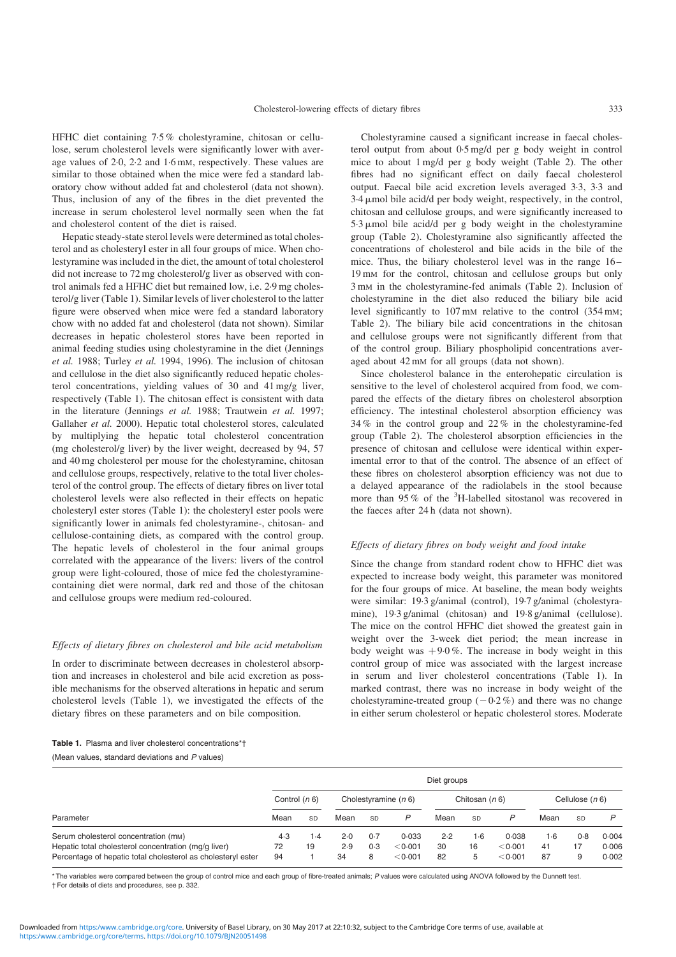<span id="page-3-0"></span>HFHC diet containing 7·5 % cholestyramine, chitosan or cellulose, serum cholesterol levels were significantly lower with average values of 2·0, 2·2 and 1·6 mM, respectively. These values are similar to those obtained when the mice were fed a standard laboratory chow without added fat and cholesterol (data not shown). Thus, inclusion of any of the fibres in the diet prevented the increase in serum cholesterol level normally seen when the fat and cholesterol content of the diet is raised.

Hepatic steady-state sterol levels were determined as total cholesterol and as cholesteryl ester in all four groups of mice. When cholestyramine was included in the diet, the amount of total cholesterol did not increase to 72 mg cholesterol/g liver as observed with control animals fed a HFHC diet but remained low, i.e. 2·9 mg cholesterol/g liver (Table 1). Similar levels of liver cholesterol to the latter figure were observed when mice were fed a standard laboratory chow with no added fat and cholesterol (data not shown). Similar decreases in hepatic cholesterol stores have been reported in animal feeding studies using cholestyramine in the diet (Jennings et al. 1988; Turley et al. 1994, 1996). The inclusion of chitosan and cellulose in the diet also significantly reduced hepatic cholesterol concentrations, yielding values of 30 and 41 mg/g liver, respectively (Table 1). The chitosan effect is consistent with data in the literature (Jennings et al. 1988; Trautwein et al. 1997; Gallaher et al. 2000). Hepatic total cholesterol stores, calculated by multiplying the hepatic total cholesterol concentration (mg cholesterol/g liver) by the liver weight, decreased by 94, 57 and 40 mg cholesterol per mouse for the cholestyramine, chitosan and cellulose groups, respectively, relative to the total liver cholesterol of the control group. The effects of dietary fibres on liver total cholesterol levels were also reflected in their effects on hepatic cholesteryl ester stores (Table 1): the cholesteryl ester pools were significantly lower in animals fed cholestyramine-, chitosan- and cellulose-containing diets, as compared with the control group. The hepatic levels of cholesterol in the four animal groups correlated with the appearance of the livers: livers of the control group were light-coloured, those of mice fed the cholestyraminecontaining diet were normal, dark red and those of the chitosan and cellulose groups were medium red-coloured.

#### Effects of dietary fibres on cholesterol and bile acid metabolism

In order to discriminate between decreases in cholesterol absorption and increases in cholesterol and bile acid excretion as possible mechanisms for the observed alterations in hepatic and serum cholesterol levels (Table 1), we investigated the effects of the dietary fibres on these parameters and on bile composition.

Cholestyramine caused a significant increase in faecal cholesterol output from about 0·5 mg/d per g body weight in control mice to about 1 mg/d per g body weight ([Table 2\)](#page-4-0). The other fibres had no significant effect on daily faecal cholesterol output. Faecal bile acid excretion levels averaged 3·3, 3·3 and 3·4 mmol bile acid/d per body weight, respectively, in the control, chitosan and cellulose groups, and were significantly increased to  $5.3 \mu$ mol bile acid/d per g body weight in the cholestyramine group ([Table 2](#page-4-0)). Cholestyramine also significantly affected the concentrations of cholesterol and bile acids in the bile of the mice. Thus, the biliary cholesterol level was in the range 16– 19 mM for the control, chitosan and cellulose groups but only 3 mM in the cholestyramine-fed animals [\(Table 2](#page-4-0)). Inclusion of cholestyramine in the diet also reduced the biliary bile acid level significantly to 107 mm relative to the control (354 mm; [Table 2\)](#page-4-0). The biliary bile acid concentrations in the chitosan and cellulose groups were not significantly different from that of the control group. Biliary phospholipid concentrations averaged about 42 mM for all groups (data not shown).

Since cholesterol balance in the enterohepatic circulation is sensitive to the level of cholesterol acquired from food, we compared the effects of the dietary fibres on cholesterol absorption efficiency. The intestinal cholesterol absorption efficiency was 34 % in the control group and 22 % in the cholestyramine-fed group [\(Table 2](#page-4-0)). The cholesterol absorption efficiencies in the presence of chitosan and cellulose were identical within experimental error to that of the control. The absence of an effect of these fibres on cholesterol absorption efficiency was not due to a delayed appearance of the radiolabels in the stool because more than  $95\%$  of the <sup>3</sup>H-labelled sitostanol was recovered in the faeces after 24 h (data not shown).

#### Effects of dietary fibres on body weight and food intake

Since the change from standard rodent chow to HFHC diet was expected to increase body weight, this parameter was monitored for the four groups of mice. At baseline, the mean body weights were similar: 19·3 g/animal (control), 19·7 g/animal (cholestyramine), 19·3 g/animal (chitosan) and 19·8 g/animal (cellulose). The mice on the control HFHC diet showed the greatest gain in weight over the 3-week diet period; the mean increase in body weight was  $+9.0\%$ . The increase in body weight in this control group of mice was associated with the largest increase in serum and liver cholesterol concentrations (Table 1). In marked contrast, there was no increase in body weight of the cholestyramine-treated group  $(-0.2\%)$  and there was no change in either serum cholesterol or hepatic cholesterol stores. Moderate

|                                                              | Diet groups     |           |                        |           |         |                  |           |         |                   |           |       |
|--------------------------------------------------------------|-----------------|-----------|------------------------|-----------|---------|------------------|-----------|---------|-------------------|-----------|-------|
|                                                              | Control $(n 6)$ |           | Cholestyramine $(n 6)$ |           |         | Chitosan $(n 6)$ |           |         | Cellulose $(n 6)$ |           |       |
| Parameter                                                    | Mean            | SD        | Mean                   | <b>SD</b> | P       | Mean             | <b>SD</b> | P       | Mean              | <b>SD</b> |       |
| Serum cholesterol concentration (mm)                         | 4.3             | $\cdot$ 4 | 2.0                    | 0.7       | 0.033   | 2.2              | 1·6       | 0.038   | 1.6               | 0.8       | 0.004 |
| Hepatic total cholesterol concentration (mg/g liver)         | 72              | 19        | 2.9                    | 0.3       | < 0.001 | 30               | 16        | < 0.001 | 41                |           | 0.006 |
| Percentage of hepatic total cholesterol as cholesteryl ester | 94              |           | 34                     | 8         | < 0.001 | 82               |           | < 0.001 | 87                |           | 0.002 |

\* The variables were compared between the group of control mice and each group of fibre-treated animals; P values were calculated using ANOVA followed by the Dunnett test. † For details of diets and procedures, see p. 332.

Table 1. Plasma and liver cholesterol concentrations\*† (Mean values, standard deviations and P values)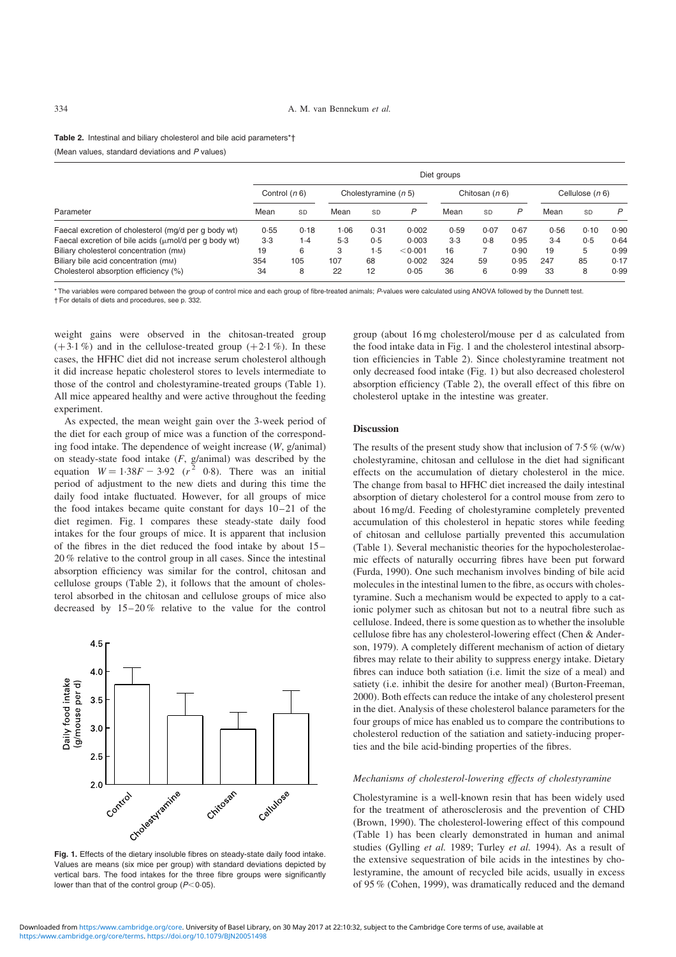<span id="page-4-0"></span>Table 2. Intestinal and biliary cholesterol and bile acid parameters\*† (Mean values, standard deviations and P values)

| Parameter                                                                          | Diet groups     |      |                        |      |         |                  |      |      |                   |      |      |
|------------------------------------------------------------------------------------|-----------------|------|------------------------|------|---------|------------------|------|------|-------------------|------|------|
|                                                                                    | Control $(n 6)$ |      | Cholestyramine $(n 5)$ |      |         | Chitosan $(n 6)$ |      |      | Cellulose $(n 6)$ |      |      |
|                                                                                    | Mean            | SD   | Mean                   | SD   | P       | Mean             | SD   | P    | Mean              | SD   | P    |
| Faecal excretion of cholesterol (mg/d per g body wt)                               | 0.55            | 0.18 | 1.06                   | 0.31 | 0.002   | 0.59             | 0.07 | 0.67 | 0.56              | 0.10 | 0.90 |
| Faecal excretion of bile acids $(\mu \text{mol/d} \text{ per } q \text{ body wt})$ | 3.3             | 1.4  | 5.3                    | 0.5  | 0.003   | 3.3              | 0.8  | 0.95 | $3-4$             | 0.5  | 0.64 |
| Biliary cholesterol concentration (mm)                                             | 19              | 6    | 3                      | 1.5  | < 0.001 | 16               |      | 0.90 | 19                | 5    | 0.99 |
| Biliary bile acid concentration (mm)                                               | 354             | 105  | 107                    | 68   | 0.002   | 324              | 59   | 0.95 | 247               | 85   | 0.17 |
| Cholesterol absorption efficiency (%)                                              | 34              | 8    | 22                     | 12   | 0.05    | 36               | 6    | 0.99 | 33                | 8    | 0.99 |

\* The variables were compared between the group of control mice and each group of fibre-treated animals; P-values were calculated using ANOVA followed by the Dunnett test. † For details of diets and procedures, see p. 332.

weight gains were observed in the chitosan-treated group  $(+3.1\%)$  and in the cellulose-treated group  $(+2.1\%)$ . In these cases, the HFHC diet did not increase serum cholesterol although it did increase hepatic cholesterol stores to levels intermediate to those of the control and cholestyramine-treated groups ([Table 1\)](#page-3-0). All mice appeared healthy and were active throughout the feeding experiment.

As expected, the mean weight gain over the 3-week period of the diet for each group of mice was a function of the corresponding food intake. The dependence of weight increase (W, g/animal) on steady-state food intake  $(F, g/\text{animal})$  was described by the equation  $W = 1.38F - 3.92$   $(r^2 \ 0.8)$ . There was an initial period of adjustment to the new diets and during this time the daily food intake fluctuated. However, for all groups of mice the food intakes became quite constant for days 10–21 of the diet regimen. Fig. 1 compares these steady-state daily food intakes for the four groups of mice. It is apparent that inclusion of the fibres in the diet reduced the food intake by about 15– 20 % relative to the control group in all cases. Since the intestinal absorption efficiency was similar for the control, chitosan and cellulose groups (Table 2), it follows that the amount of cholesterol absorbed in the chitosan and cellulose groups of mice also decreased by 15–20 % relative to the value for the control



Fig. 1. Effects of the dietary insoluble fibres on steady-state daily food intake. Values are means (six mice per group) with standard deviations depicted by vertical bars. The food intakes for the three fibre groups were significantly lower than that of the control group  $(P<0.05)$ .

group (about 16 mg cholesterol/mouse per d as calculated from the food intake data in Fig. 1 and the cholesterol intestinal absorption efficiencies in Table 2). Since cholestyramine treatment not only decreased food intake (Fig. 1) but also decreased cholesterol absorption efficiency (Table 2), the overall effect of this fibre on cholesterol uptake in the intestine was greater.

#### Discussion

The results of the present study show that inclusion of  $7.5\%$  (w/w) cholestyramine, chitosan and cellulose in the diet had significant effects on the accumulation of dietary cholesterol in the mice. The change from basal to HFHC diet increased the daily intestinal absorption of dietary cholesterol for a control mouse from zero to about 16 mg/d. Feeding of cholestyramine completely prevented accumulation of this cholesterol in hepatic stores while feeding of chitosan and cellulose partially prevented this accumulation ([Table 1](#page-3-0)). Several mechanistic theories for the hypocholesterolaemic effects of naturally occurring fibres have been put forward (Furda, 1990). One such mechanism involves binding of bile acid molecules in the intestinal lumen to the fibre, as occurs with cholestyramine. Such a mechanism would be expected to apply to a cationic polymer such as chitosan but not to a neutral fibre such as cellulose. Indeed, there is some question as to whether the insoluble cellulose fibre has any cholesterol-lowering effect (Chen & Anderson, 1979). A completely different mechanism of action of dietary fibres may relate to their ability to suppress energy intake. Dietary fibres can induce both satiation (i.e. limit the size of a meal) and satiety (i.e. inhibit the desire for another meal) (Burton-Freeman, 2000). Both effects can reduce the intake of any cholesterol present in the diet. Analysis of these cholesterol balance parameters for the four groups of mice has enabled us to compare the contributions to cholesterol reduction of the satiation and satiety-inducing properties and the bile acid-binding properties of the fibres.

#### Mechanisms of cholesterol-lowering effects of cholestyramine

Cholestyramine is a well-known resin that has been widely used for the treatment of atherosclerosis and the prevention of CHD (Brown, 1990). The cholesterol-lowering effect of this compound ([Table 1](#page-3-0)) has been clearly demonstrated in human and animal studies (Gylling et al. 1989; Turley et al. 1994). As a result of the extensive sequestration of bile acids in the intestines by cholestyramine, the amount of recycled bile acids, usually in excess of 95 % (Cohen, 1999), was dramatically reduced and the demand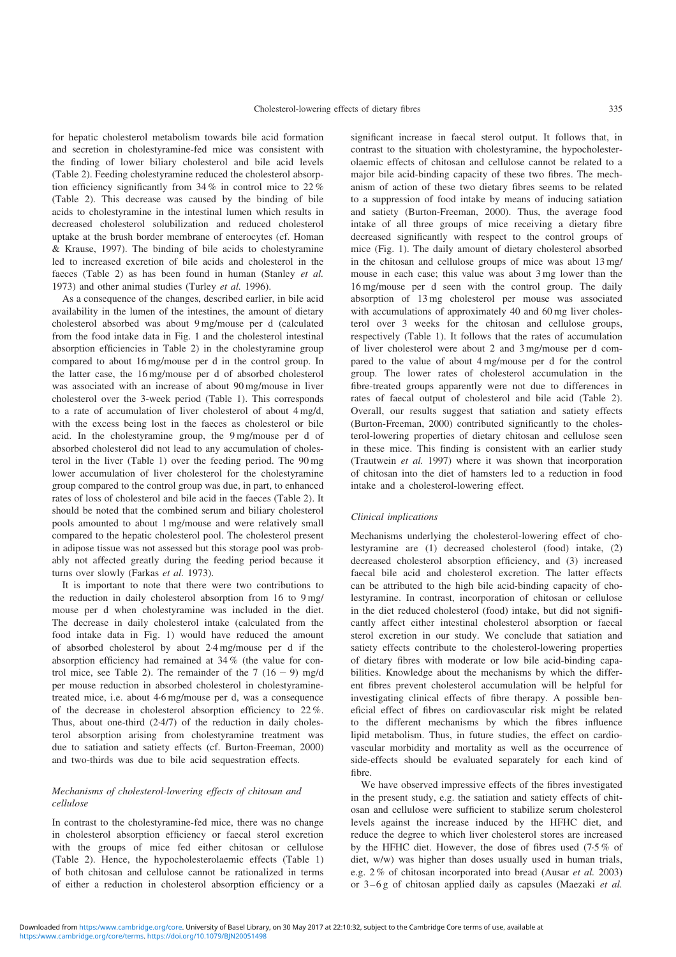for hepatic cholesterol metabolism towards bile acid formation and secretion in cholestyramine-fed mice was consistent with the finding of lower biliary cholesterol and bile acid levels ([Table 2](#page-4-0)). Feeding cholestyramine reduced the cholesterol absorption efficiency significantly from 34 % in control mice to 22 % ([Table 2](#page-4-0)). This decrease was caused by the binding of bile acids to cholestyramine in the intestinal lumen which results in decreased cholesterol solubilization and reduced cholesterol uptake at the brush border membrane of enterocytes (cf. Homan & Krause, 1997). The binding of bile acids to cholestyramine led to increased excretion of bile acids and cholesterol in the faeces ([Table 2\)](#page-4-0) as has been found in human (Stanley et al. 1973) and other animal studies (Turley et al. 1996).

As a consequence of the changes, described earlier, in bile acid availability in the lumen of the intestines, the amount of dietary cholesterol absorbed was about 9 mg/mouse per d (calculated from the food intake data in [Fig. 1](#page-4-0) and the cholesterol intestinal absorption efficiencies in [Table 2](#page-4-0)) in the cholestyramine group compared to about 16 mg/mouse per d in the control group. In the latter case, the 16 mg/mouse per d of absorbed cholesterol was associated with an increase of about 90 mg/mouse in liver cholesterol over the 3-week period ([Table 1\)](#page-3-0). This corresponds to a rate of accumulation of liver cholesterol of about 4 mg/d, with the excess being lost in the faeces as cholesterol or bile acid. In the cholestyramine group, the 9 mg/mouse per d of absorbed cholesterol did not lead to any accumulation of cholesterol in the liver [\(Table 1\)](#page-3-0) over the feeding period. The 90 mg lower accumulation of liver cholesterol for the cholestyramine group compared to the control group was due, in part, to enhanced rates of loss of cholesterol and bile acid in the faeces [\(Table 2\)](#page-4-0). It should be noted that the combined serum and biliary cholesterol pools amounted to about 1 mg/mouse and were relatively small compared to the hepatic cholesterol pool. The cholesterol present in adipose tissue was not assessed but this storage pool was probably not affected greatly during the feeding period because it turns over slowly (Farkas et al. 1973).

It is important to note that there were two contributions to the reduction in daily cholesterol absorption from 16 to 9 mg/ mouse per d when cholestyramine was included in the diet. The decrease in daily cholesterol intake (calculated from the food intake data in [Fig. 1\)](#page-4-0) would have reduced the amount of absorbed cholesterol by about 2·4 mg/mouse per d if the absorption efficiency had remained at 34 % (the value for con-trol mice, see [Table 2\)](#page-4-0). The remainder of the 7 (16 - 9) mg/d per mouse reduction in absorbed cholesterol in cholestyraminetreated mice, i.e. about 4·6 mg/mouse per d, was a consequence of the decrease in cholesterol absorption efficiency to 22 %. Thus, about one-third (2·4/7) of the reduction in daily cholesterol absorption arising from cholestyramine treatment was due to satiation and satiety effects (cf. Burton-Freeman, 2000) and two-thirds was due to bile acid sequestration effects.

#### Mechanisms of cholesterol-lowering effects of chitosan and cellulose

In contrast to the cholestyramine-fed mice, there was no change in cholesterol absorption efficiency or faecal sterol excretion with the groups of mice fed either chitosan or cellulose ([Table 2\)](#page-4-0). Hence, the hypocholesterolaemic effects ([Table 1\)](#page-3-0) of both chitosan and cellulose cannot be rationalized in terms of either a reduction in cholesterol absorption efficiency or a

significant increase in faecal sterol output. It follows that, in contrast to the situation with cholestyramine, the hypocholesterolaemic effects of chitosan and cellulose cannot be related to a major bile acid-binding capacity of these two fibres. The mechanism of action of these two dietary fibres seems to be related to a suppression of food intake by means of inducing satiation and satiety (Burton-Freeman, 2000). Thus, the average food intake of all three groups of mice receiving a dietary fibre decreased significantly with respect to the control groups of mice ([Fig. 1](#page-4-0)). The daily amount of dietary cholesterol absorbed in the chitosan and cellulose groups of mice was about 13 mg/ mouse in each case; this value was about 3 mg lower than the 16 mg/mouse per d seen with the control group. The daily absorption of 13 mg cholesterol per mouse was associated with accumulations of approximately 40 and 60 mg liver cholesterol over 3 weeks for the chitosan and cellulose groups, respectively ([Table 1\)](#page-3-0). It follows that the rates of accumulation of liver cholesterol were about 2 and 3 mg/mouse per d compared to the value of about 4 mg/mouse per d for the control group. The lower rates of cholesterol accumulation in the fibre-treated groups apparently were not due to differences in rates of faecal output of cholesterol and bile acid ([Table 2\)](#page-4-0). Overall, our results suggest that satiation and satiety effects (Burton-Freeman, 2000) contributed significantly to the cholesterol-lowering properties of dietary chitosan and cellulose seen in these mice. This finding is consistent with an earlier study (Trautwein et al. 1997) where it was shown that incorporation of chitosan into the diet of hamsters led to a reduction in food intake and a cholesterol-lowering effect.

#### Clinical implications

Mechanisms underlying the cholesterol-lowering effect of cholestyramine are (1) decreased cholesterol (food) intake, (2) decreased cholesterol absorption efficiency, and (3) increased faecal bile acid and cholesterol excretion. The latter effects can be attributed to the high bile acid-binding capacity of cholestyramine. In contrast, incorporation of chitosan or cellulose in the diet reduced cholesterol (food) intake, but did not significantly affect either intestinal cholesterol absorption or faecal sterol excretion in our study. We conclude that satiation and satiety effects contribute to the cholesterol-lowering properties of dietary fibres with moderate or low bile acid-binding capabilities. Knowledge about the mechanisms by which the different fibres prevent cholesterol accumulation will be helpful for investigating clinical effects of fibre therapy. A possible beneficial effect of fibres on cardiovascular risk might be related to the different mechanisms by which the fibres influence lipid metabolism. Thus, in future studies, the effect on cardiovascular morbidity and mortality as well as the occurrence of side-effects should be evaluated separately for each kind of fibre.

We have observed impressive effects of the fibres investigated in the present study, e.g. the satiation and satiety effects of chitosan and cellulose were sufficient to stabilize serum cholesterol levels against the increase induced by the HFHC diet, and reduce the degree to which liver cholesterol stores are increased by the HFHC diet. However, the dose of fibres used (7·5 % of diet, w/w) was higher than doses usually used in human trials, e.g. 2 % of chitosan incorporated into bread (Ausar et al. 2003) or 3–6 g of chitosan applied daily as capsules (Maezaki et al.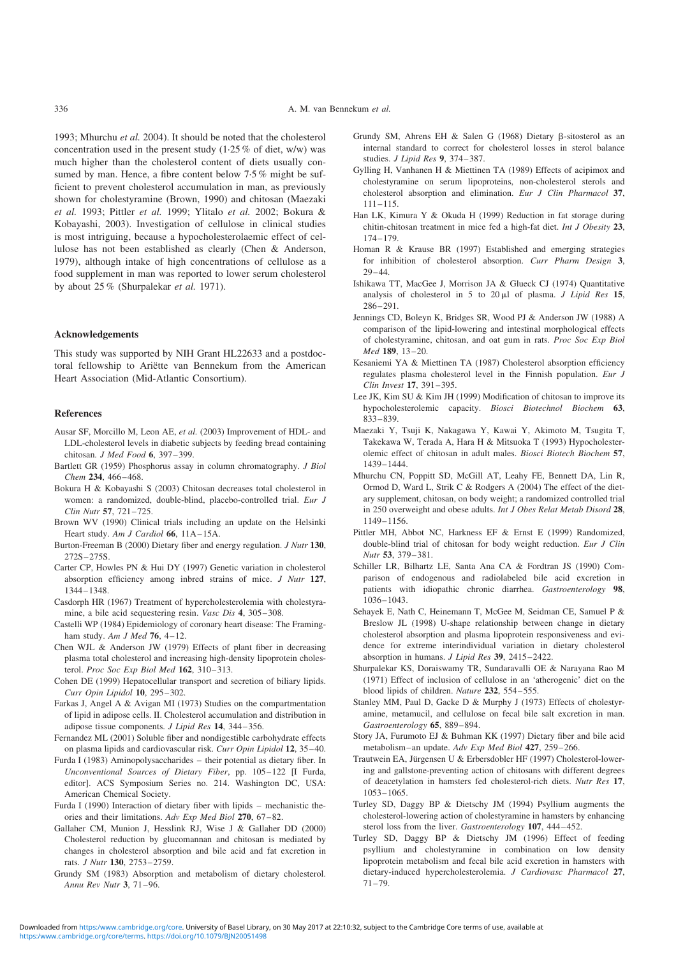1993; Mhurchu et al. 2004). It should be noted that the cholesterol concentration used in the present study  $(1.25\% \text{ of diet}, \text{w/w})$  was much higher than the cholesterol content of diets usually consumed by man. Hence, a fibre content below 7.5% might be sufficient to prevent cholesterol accumulation in man, as previously shown for cholestyramine (Brown, 1990) and chitosan (Maezaki et al. 1993; Pittler et al. 1999; Ylitalo et al. 2002; Bokura & Kobayashi, 2003). Investigation of cellulose in clinical studies is most intriguing, because a hypocholesterolaemic effect of cellulose has not been established as clearly (Chen & Anderson, 1979), although intake of high concentrations of cellulose as a food supplement in man was reported to lower serum cholesterol by about 25 % (Shurpalekar et al. 1971).

#### Acknowledgements

This study was supported by NIH Grant HL22633 and a postdoctoral fellowship to Ariëtte van Bennekum from the American Heart Association (Mid-Atlantic Consortium).

#### References

- Ausar SF, Morcillo M, Leon AE, et al. (2003) Improvement of HDL- and LDL-cholesterol levels in diabetic subjects by feeding bread containing chitosan. J Med Food 6, 397–399.
- Bartlett GR (1959) Phosphorus assay in column chromatography. J Biol Chem 234, 466-468.
- Bokura H & Kobayashi S (2003) Chitosan decreases total cholesterol in women: a randomized, double-blind, placebo-controlled trial. Eur J Clin Nutr 57, 721–725.
- Brown WV (1990) Clinical trials including an update on the Helsinki Heart study. Am J Cardiol 66, 11A-15A.
- Burton-Freeman B (2000) Dietary fiber and energy regulation. J Nutr 130, 272S–275S.
- Carter CP, Howles PN & Hui DY (1997) Genetic variation in cholesterol absorption efficiency among inbred strains of mice. J Nutr 127, 1344–1348.
- Casdorph HR (1967) Treatment of hypercholesterolemia with cholestyramine, a bile acid sequestering resin. Vasc Dis 4, 305–308.
- Castelli WP (1984) Epidemiology of coronary heart disease: The Framingham study. Am J Med  $76$ , 4-12.
- Chen WJL & Anderson JW (1979) Effects of plant fiber in decreasing plasma total cholesterol and increasing high-density lipoprotein cholesterol. Proc Soc Exp Biol Med 162, 310-313.
- Cohen DE (1999) Hepatocellular transport and secretion of biliary lipids. Curr Opin Lipidol 10, 295–302.
- Farkas J, Angel A & Avigan MI (1973) Studies on the compartmentation of lipid in adipose cells. II. Cholesterol accumulation and distribution in adipose tissue components. J Lipid Res 14, 344–356.
- Fernandez ML (2001) Soluble fiber and nondigestible carbohydrate effects on plasma lipids and cardiovascular risk. Curr Opin Lipidol 12, 35–40.
- Furda I (1983) Aminopolysaccharides their potential as dietary fiber. In Unconventional Sources of Dietary Fiber, pp. 105–122 [I Furda, editor]. ACS Symposium Series no. 214. Washington DC, USA: American Chemical Society.
- Furda I (1990) Interaction of dietary fiber with lipids mechanistic theories and their limitations. Adv Exp Med Biol 270, 67–82.
- Gallaher CM, Munion J, Hesslink RJ, Wise J & Gallaher DD (2000) Cholesterol reduction by glucomannan and chitosan is mediated by changes in cholesterol absorption and bile acid and fat excretion in rats. J Nutr 130, 2753–2759.
- Grundy SM (1983) Absorption and metabolism of dietary cholesterol. Annu Rev Nutr 3, 71–96.
- Grundy SM, Ahrens EH & Salen G (1968) Dietary  $\beta$ -sitosterol as an internal standard to correct for cholesterol losses in sterol balance studies. J Lipid Res 9, 374-387.
- Gylling H, Vanhanen H & Miettinen TA (1989) Effects of acipimox and cholestyramine on serum lipoproteins, non-cholesterol sterols and cholesterol absorption and elimination. Eur J Clin Pharmacol 37, 111–115.
- Han LK, Kimura Y & Okuda H (1999) Reduction in fat storage during chitin-chitosan treatment in mice fed a high-fat diet. Int J Obesity 23, 174–179.
- Homan R & Krause BR (1997) Established and emerging strategies for inhibition of cholesterol absorption. Curr Pharm Design 3, 29–44.
- Ishikawa TT, MacGee J, Morrison JA & Glueck CJ (1974) Quantitative analysis of cholesterol in 5 to  $20 \mu l$  of plasma. *J Lipid Res* 15, 286–291.
- Jennings CD, Boleyn K, Bridges SR, Wood PJ & Anderson JW (1988) A comparison of the lipid-lowering and intestinal morphological effects of cholestyramine, chitosan, and oat gum in rats. Proc Soc Exp Biol Med 189, 13–20.
- Kesaniemi YA & Miettinen TA (1987) Cholesterol absorption efficiency regulates plasma cholesterol level in the Finnish population. Eur J Clin Invest 17, 391–395.
- Lee JK, Kim SU & Kim JH (1999) Modification of chitosan to improve its hypocholesterolemic capacity. Biosci Biotechnol Biochem 63, 833–839.
- Maezaki Y, Tsuji K, Nakagawa Y, Kawai Y, Akimoto M, Tsugita T, Takekawa W, Terada A, Hara H & Mitsuoka T (1993) Hypocholesterolemic effect of chitosan in adult males. Biosci Biotech Biochem 57, 1439–1444.
- Mhurchu CN, Poppitt SD, McGill AT, Leahy FE, Bennett DA, Lin R, Ormod D, Ward L, Strik C & Rodgers A (2004) The effect of the dietary supplement, chitosan, on body weight; a randomized controlled trial in 250 overweight and obese adults. Int J Obes Relat Metab Disord 28, 1149–1156.
- Pittler MH, Abbot NC, Harkness EF & Ernst E (1999) Randomized, double-blind trial of chitosan for body weight reduction. Eur J Clin Nutr 53, 379–381.
- Schiller LR, Bilhartz LE, Santa Ana CA & Fordtran JS (1990) Comparison of endogenous and radiolabeled bile acid excretion in patients with idiopathic chronic diarrhea. Gastroenterology 98, 1036–1043.
- Sehayek E, Nath C, Heinemann T, McGee M, Seidman CE, Samuel P & Breslow JL (1998) U-shape relationship between change in dietary cholesterol absorption and plasma lipoprotein responsiveness and evidence for extreme interindividual variation in dietary cholesterol absorption in humans. J Lipid Res 39, 2415–2422.
- Shurpalekar KS, Doraiswamy TR, Sundaravalli OE & Narayana Rao M (1971) Effect of inclusion of cellulose in an 'atherogenic' diet on the blood lipids of children. Nature 232, 554–555.
- Stanley MM, Paul D, Gacke D & Murphy J (1973) Effects of cholestyramine, metamucil, and cellulose on fecal bile salt excretion in man. Gastroenterology 65, 889–894.
- Story JA, Furumoto EJ & Buhman KK (1997) Dietary fiber and bile acid metabolism–an update. Adv Exp Med Biol 427, 259–266.
- Trautwein EA, Jürgensen U & Erbersdobler HF (1997) Cholesterol-lowering and gallstone-preventing action of chitosans with different degrees of deacetylation in hamsters fed cholesterol-rich diets. Nutr Res 17, 1053–1065.
- Turley SD, Daggy BP & Dietschy JM (1994) Psyllium augments the cholesterol-lowering action of cholestyramine in hamsters by enhancing sterol loss from the liver. Gastroenterology 107, 444–452.
- Turley SD, Daggy BP & Dietschy JM (1996) Effect of feeding psyllium and cholestyramine in combination on low density lipoprotein metabolism and fecal bile acid excretion in hamsters with dietary-induced hypercholesterolemia. J Cardiovasc Pharmacol 27, 71–79.